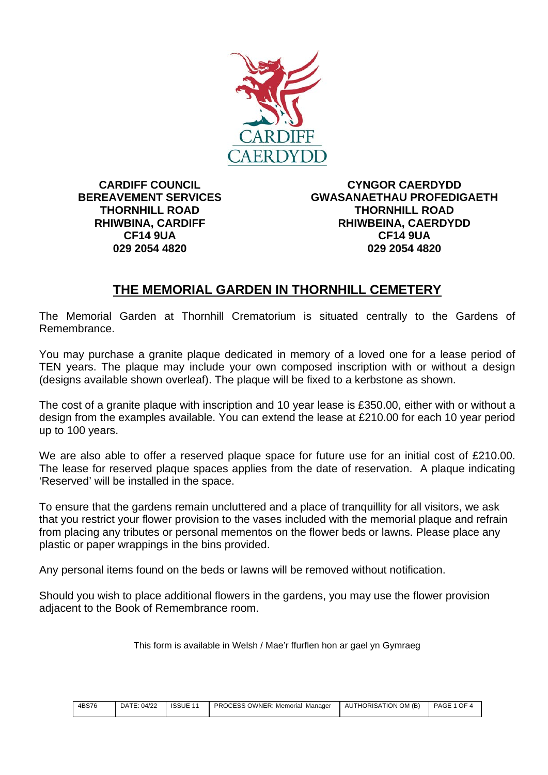

**CARDIFF COUNCIL BEREAVEMENT SERVICES THORNHILL ROAD RHIWBINA, CARDIFF CF14 9UA 029 2054 4820**

**CYNGOR CAERDYDD GWASANAETHAU PROFEDIGAETH THORNHILL ROAD RHIWBEINA, CAERDYDD CF14 9UA 029 2054 4820**

## **THE MEMORIAL GARDEN IN THORNHILL CEMETERY**

The Memorial Garden at Thornhill Crematorium is situated centrally to the Gardens of Remembrance.

You may purchase a granite plaque dedicated in memory of a loved one for a lease period of TEN years. The plaque may include your own composed inscription with or without a design (designs available shown overleaf). The plaque will be fixed to a kerbstone as shown.

The cost of a granite plaque with inscription and 10 year lease is £350.00, either with or without a design from the examples available. You can extend the lease at £210.00 for each 10 year period up to 100 years.

We are also able to offer a reserved plaque space for future use for an initial cost of £210.00. The lease for reserved plaque spaces applies from the date of reservation. A plaque indicating 'Reserved' will be installed in the space.

To ensure that the gardens remain uncluttered and a place of tranquillity for all visitors, we ask that you restrict your flower provision to the vases included with the memorial plaque and refrain from placing any tributes or personal mementos on the flower beds or lawns. Please place any plastic or paper wrappings in the bins provided.

Any personal items found on the beds or lawns will be removed without notification.

Should you wish to place additional flowers in the gardens, you may use the flower provision adjacent to the Book of Remembrance room.

This form is available in Welsh / Mae'r ffurflen hon ar gael yn Gymraeg

| 4BS76 |  | <b>PROCESS OWNER: Memorial Manager</b> | AUTHORISATION OM (B) PAGE 1 OF 4 |  |
|-------|--|----------------------------------------|----------------------------------|--|
|       |  |                                        |                                  |  |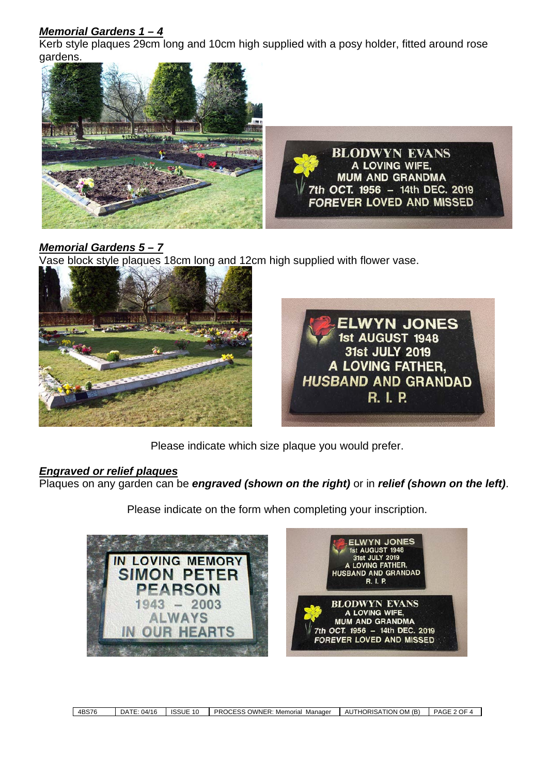## *Memorial Gardens 1 – 4*

Kerb style plaques 29cm long and 10cm high supplied with a posy holder, fitted around rose gardens.



## *Memorial Gardens 5 – 7*

Vase block style plaques 18cm long and 12cm high supplied with flower vase.





Please indicate which size plaque you would prefer.

#### *Engraved or relief plaques*

Plaques on any garden can be *engraved (shown on the right)* or in *relief (shown on the left)*.

Please indicate on the form when completing your inscription.

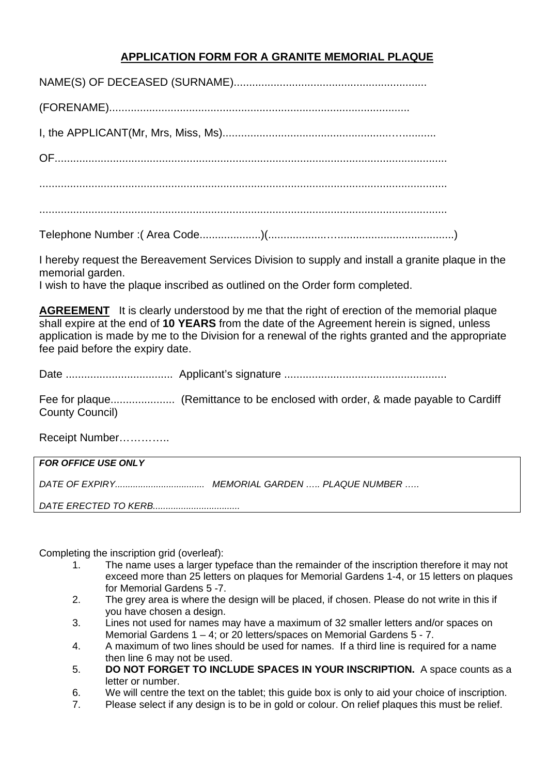### **APPLICATION FORM FOR A GRANITE MEMORIAL PLAQUE**

I hereby request the Bereavement Services Division to supply and install a granite plaque in the memorial garden.

I wish to have the plaque inscribed as outlined on the Order form completed.

**AGREEMENT** It is clearly understood by me that the right of erection of the memorial plaque shall expire at the end of 10 YEARS from the date of the Agreement herein is signed, unless application is made by me to the Division for a renewal of the rights granted and the appropriate fee paid before the expiry date.

**County Council)** 

Receipt Number..............

| <b>FOR OFFICE USE ONLY</b> |  |
|----------------------------|--|
|                            |  |
|                            |  |

Completing the inscription grid (overleaf):

- The name uses a larger typeface than the remainder of the inscription therefore it may not 1. exceed more than 25 letters on plaques for Memorial Gardens 1-4, or 15 letters on plaques for Memorial Gardens 5 -7.
- $2.$ The grey area is where the design will be placed, if chosen. Please do not write in this if you have chosen a design.
- $\overline{3}$ . Lines not used for names may have a maximum of 32 smaller letters and/or spaces on Memorial Gardens  $1 - 4$ ; or 20 letters/spaces on Memorial Gardens  $5 - 7$ .
- A maximum of two lines should be used for names. If a third line is required for a name 4. then line 6 may not be used.
- DO NOT FORGET TO INCLUDE SPACES IN YOUR INSCRIPTION. A space counts as a  $5<sub>1</sub>$ letter or number.
- 6. We will centre the text on the tablet; this quide box is only to aid your choice of inscription.
- Please select if any design is to be in gold or colour. On relief plaques this must be relief.  $7.$